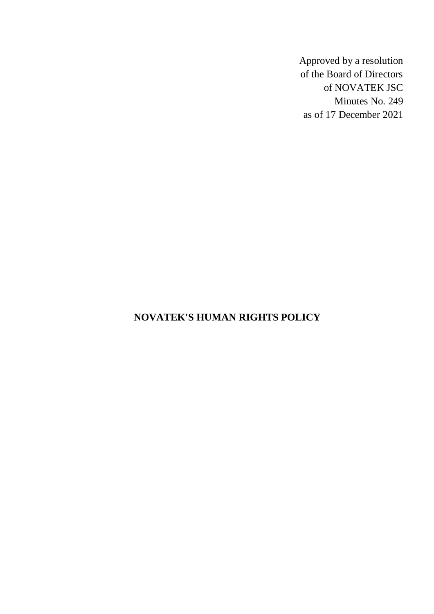Approved by a resolution of the Board of Directors of NOVATEK JSC Minutes No. 249 as of 17 December 2021

# **NOVATEK'S HUMAN RIGHTS POLICY**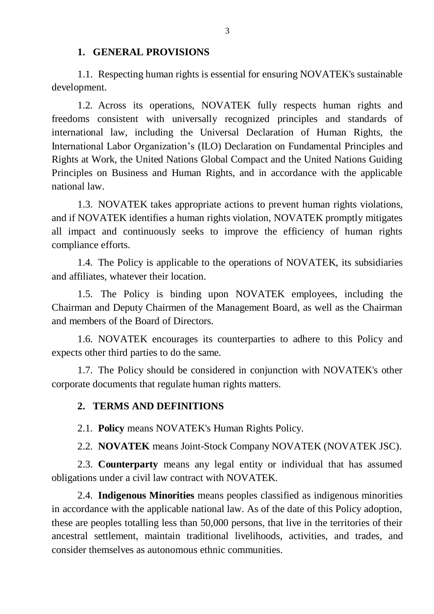#### **1. GENERAL PROVISIONS**

<span id="page-2-0"></span>1.1. Respecting human rights is essential for ensuring NOVATEK's sustainable development.

1.2. Across its operations, NOVATEK fully respects human rights and freedoms consistent with universally recognized principles and standards of international law, including the Universal Declaration of Human Rights, the International Labor Organization's (ILO) Declaration on Fundamental Principles and Rights at Work, the United Nations Global Compact and the United Nations Guiding Principles on Business and Human Rights, and in accordance with the applicable national law.

1.3. NOVATEK takes appropriate actions to prevent human rights violations, and if NOVATEK identifies a human rights violation, NOVATEK promptly mitigates all impact and continuously seeks to improve the efficiency of human rights compliance efforts.

1.4. The Policy is applicable to the operations of NOVATEK, its subsidiaries and affiliates, whatever their location.

1.5. The Policy is binding upon NOVATEK employees, including the Chairman and Deputy Chairmen of the Management Board, as well as the Chairman and members of the Board of Directors.

1.6. NOVATEK encourages its counterparties to adhere to this Policy and expects other third parties to do the same.

1.7. The Policy should be considered in conjunction with NOVATEK's other corporate documents that regulate human rights matters.

#### <span id="page-2-1"></span>**2. TERMS AND DEFINITIONS**

2.1. **Policy** means NOVATEK's Human Rights Policy.

2.2. **NOVATEK** means Joint-Stock Company NOVATEK (NOVATEK JSC).

2.3. **Counterparty** means any legal entity or individual that has assumed obligations under a civil law contract with NOVATEK.

2.4. **Indigenous Minorities** means peoples classified as indigenous minorities in accordance with the applicable national law. As of the date of this Policy adoption, these are peoples totalling less than 50,000 persons, that live in the territories of their ancestral settlement, maintain traditional livelihoods, activities, and trades, and consider themselves as autonomous ethnic communities.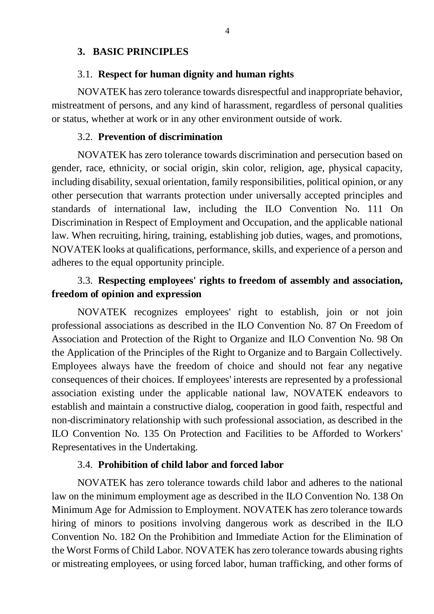### <span id="page-3-0"></span>**3. BASIC PRINCIPLES**

#### 3.1. **Respect for human dignity and human rights**

NOVATEK has zero tolerance towards disrespectful and inappropriate behavior, mistreatment of persons, and any kind of harassment, regardless of personal qualities or status, whether at work or in any other environment outside of work.

#### 3.2. **Prevention of discrimination**

NOVATEK has zero tolerance towards discrimination and persecution based on gender, race, ethnicity, or social origin, skin color, religion, age, physical capacity, including disability, sexual orientation, family responsibilities, political opinion, or any other persecution that warrants protection under universally accepted principles and standards of international law, including the ILO Convention No. 111 On Discrimination in Respect of Employment and Occupation, and the applicable national law. When recruiting, hiring, training, establishing job duties, wages, and promotions, NOVATEK looks at qualifications, performance, skills, and experience of a person and adheres to the equal opportunity principle.

## 3.3. **Respecting employees' rights to freedom of assembly and association, freedom of opinion and expression**

NOVATEK recognizes employees' right to establish, join or not join professional associations as described in the ILO Convention No. 87 On Freedom of Association and Protection of the Right to Organize and ILO Convention No. 98 On the Application of the Principles of the Right to Organize and to Bargain Collectively. Employees always have the freedom of choice and should not fear any negative consequences of their choices. If employees' interests are represented by a professional association existing under the applicable national law, NOVATEK endeavors to establish and maintain a constructive dialog, cooperation in good faith, respectful and non-discriminatory relationship with such professional association, as described in the ILO Convention No. 135 On Protection and Facilities to be Afforded to Workers' Representatives in the Undertaking.

#### 3.4. **Prohibition of child labor and forced labor**

NOVATEK has zero tolerance towards child labor and adheres to the national law on the minimum employment age as described in the ILO Convention No. 138 On Minimum Age for Admission to Employment. NOVATEK has zero tolerance towards hiring of minors to positions involving dangerous work as described in the ILO Convention No. 182 On the Prohibition and Immediate Action for the Elimination of the Worst Forms of Child Labor. NOVATEK has zero tolerance towards abusing rights or mistreating employees, or using forced labor, human trafficking, and other forms of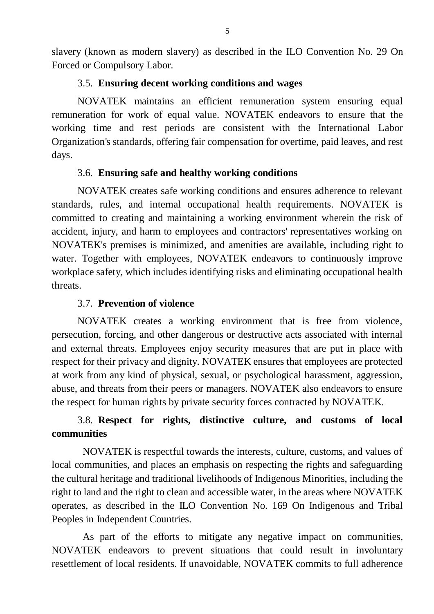slavery (known as modern slavery) as described in the ILO Convention No. 29 On Forced or Compulsory Labor.

#### 3.5. **Ensuring decent working conditions and wages**

NOVATEK maintains an efficient remuneration system ensuring equal remuneration for work of equal value. NOVATEK endeavors to ensure that the working time and rest periods are consistent with the International Labor Organization's standards, offering fair compensation for overtime, paid leaves, and rest days.

## 3.6. **Ensuring safe and healthy working conditions**

NOVATEK creates safe working conditions and ensures adherence to relevant standards, rules, and internal occupational health requirements. NOVATEK is committed to creating and maintaining a working environment wherein the risk of accident, injury, and harm to employees and contractors' representatives working on NOVATEK's premises is minimized, and amenities are available, including right to water. Together with employees, NOVATEK endeavors to continuously improve workplace safety, which includes identifying risks and eliminating occupational health threats.

### 3.7. **Prevention of violence**

NOVATEK creates a working environment that is free from violence, persecution, forcing, and other dangerous or destructive acts associated with internal and external threats. Employees enjoy security measures that are put in place with respect for their privacy and dignity. NOVATEK ensures that employees are protected at work from any kind of physical, sexual, or psychological harassment, aggression, abuse, and threats from their peers or managers. NOVATEK also endeavors to ensure the respect for human rights by private security forces contracted by NOVATEK.

# 3.8. **Respect for rights, distinctive culture, and customs of local communities**

NOVATEK is respectful towards the interests, culture, customs, and values of local communities, and places an emphasis on respecting the rights and safeguarding the cultural heritage and traditional livelihoods of Indigenous Minorities, including the right to land and the right to clean and accessible water, in the areas where NOVATEK operates, as described in the ILO Convention No. 169 On Indigenous and Tribal Peoples in Independent Countries.

As part of the efforts to mitigate any negative impact on communities, NOVATEK endeavors to prevent situations that could result in involuntary resettlement of local residents. If unavoidable, NOVATEK commits to full adherence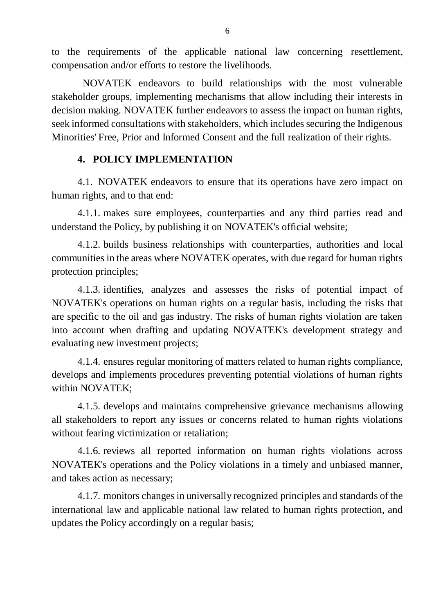to the requirements of the applicable national law concerning resettlement, compensation and/or efforts to restore the livelihoods.

NOVATEK endeavors to build relationships with the most vulnerable stakeholder groups, implementing mechanisms that allow including their interests in decision making. NOVATEK further endeavors to assess the impact on human rights, seek informed consultations with stakeholders, which includes securing the Indigenous Minorities' Free, Prior and Informed Consent and the full realization of their rights.

## **4. POLICY IMPLEMENTATION**

<span id="page-5-0"></span>4.1. NOVATEK endeavors to ensure that its operations have zero impact on human rights, and to that end:

4.1.1. makes sure employees, counterparties and any third parties read and understand the Policy, by publishing it on NOVATEK's official website;

4.1.2. builds business relationships with counterparties, authorities and local communities in the areas where NOVATEK operates, with due regard for human rights protection principles;

4.1.3. identifies, analyzes and assesses the risks of potential impact of NOVATEK's operations on human rights on a regular basis, including the risks that are specific to the oil and gas industry. The risks of human rights violation are taken into account when drafting and updating NOVATEK's development strategy and evaluating new investment projects;

4.1.4. ensures regular monitoring of matters related to human rights compliance, develops and implements procedures preventing potential violations of human rights within NOVATEK;

4.1.5. develops and maintains comprehensive grievance mechanisms allowing all stakeholders to report any issues or concerns related to human rights violations without fearing victimization or retaliation;

4.1.6. reviews all reported information on human rights violations across NOVATEK's operations and the Policy violations in a timely and unbiased manner, and takes action as necessary;

4.1.7. monitors changes in universally recognized principles and standards of the international law and applicable national law related to human rights protection, and updates the Policy accordingly on a regular basis;